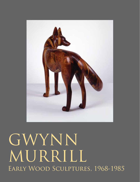

## Early Wood Sculptures, 1968-1985 GWYNN MURRILL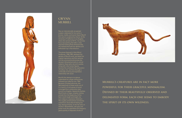Now an internationally recognized sculptor celebrated for her works in bronze, marble, and wood, Gwynn Murrill first came to sculpture by chance. At the University of California in Los Angeles, where she earned an M.F.A., her primary focus was painting. But after a class required working three-dimensionally, she realized that both her abilities and enthusiasm lay in that direction.

The pieces featured in *Early Wood Sculptures, 1968-1985*, represent the genesis of Murrill's work, and detail her original inspirations and first ventures into the unconventional process she devised. Attracted primarily to animal subjects, these early cats and coyotes, along with a few human figures, become the conduit for her exploration of surface, line, and form through a continually evolving and expressive relationship with wood.

> Murrill's creatures are in fact more powerful for their graceful minimalism. DEFINED BY THEIR BEAUTIFULLY OBSERVED AND delineated form, each one seems to embody THE SPIRIT OF ITS OWN WILDNESS.

Murrill's first attempt at sculpture materialized as a large rocking horse, followed soon after by *Lion*, 1969. Because of limited resources, she fabricated both of these works out of 2 x 4 and 4 x 4 inch pieces of wood, scrounged from construction sites around Los Angeles. Apparently fearless, Murrill took on large, complex rocking animals from the beginning. At five feet in both length and height, her *Lion* makes an impressive statement. The roughly joined sections and blocky overall form shows Murrill feeling her way, relying primarily, as she has said, on intuition. Nevertheless, with glue and power tools she assembled and shaped a great quantity of disparate chunks of





## GWYNN MURRILL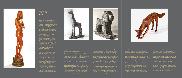Now an internationally recognized sculptor celebrated for her works in bronze, marble, and wood, Gwynn Murrill first came to sculpture by chance. At the University of California in Los Angeles, where she earned an M.F.A., her primary focus was painting. But after a class required working three-dimensionally, she realized that both her abilities and enthusiasm lay in that direction.

The pieces featured in *Early Wood Sculptures, 1968-1985*, represent the genesis of Murrill's work, and detail her original inspirations and first ventures into the unconventional process she devised. Attracted primarily to animal subjects, these early cats and coyotes, along with a few human figures, become the conduit for her exploration of surface, line, and form through a continually evolving and expressive relationship with wood.

Murrill's first attempt at sculpture materialized as a large rocking horse, followed soon after by *Lion*, 1969. Because of limited resources, she fabricated both of these works out of 2 x 4 and 4 x 4 inch pieces of wood, scrounged from construction sites around Los Angeles. Apparently fearless, Murrill took on large, complex rocking animals from the beginning. At five feet in both length and height, her *Lion* makes an impressive statement. The roughly joined sections and blocky overall form shows Murrill feeling her way, relying primarily, as she has said, on intuition. Nevertheless, with glue and power tools she assembled and shaped a great quantity of disparate chunks of





## GWYNN MURRILL

wood into a monumental form that emanates a kind of prehistoric, mythological presence.

After *Lion*, came *Giraffe*, 1970, and *Horse II*, 1971, also attached to rockers. Murrill had visibly progressed, and much of the rawness of *Lion* is absent from these pieces. Again she chose complicated animals to construct, but with improving technique each became a more unified whole. In two subsequent works, *Impala* and *Rhinoceros Head*, both from 1972, she moves away from the complete creature to focus her attention more closely on individual characteristics and surface finish. The *Impala's* long swooping horns, and both animals' expressive ears, reveal a growing adventurousness and a developing eye. She begins to attend more carefully to the shape and color of her components, arranging them to accentuate the subject. An example of this increasing awareness is the unusual sculpture *Clam I*, 1973, in which the sophisticated placement of individual





curved cuts enhances a deceptively simple form. But with *Cheetah*, also from 1973, Murrill returns to full-size animals and steps into a new domain. This cat is sleek and imposing, each sinuous curve flowing seamlessly into the next. The attentive lift of its head and poised tail makes its watchful stance clear, and—belying its multiple components—transforms it into a graceful, fully realized being. Murrill's inspired use of the wood's undulating grain draws the eye from the cat's shoulder upwards and around its haunches to further reinforce the dynamism of its form. A tour de force, *Cheetah* affirms Murrill's increasing capability and confidence.

Although primarily drawn to the animal kingdom, Murrill also sculpts human figures. In 1977 she broke from her usual composite method to tackle carving from a single piece of wood. *Standing Woman* materializes from a length of ash—its eye-catching unworked section acts as her pedestal. Literally emerging from the confines of a

foot and a half diameter log, the precisely proportioned nude rises six and a half feet. Despite a complex arrangement of crossed arms and legs, she is perfectly balanced in a relaxed, casual stance, with swirling wood grain harmoniously accentuating the curves of her body. With this accomplished sculpture, completed not too many years after she first glued odds and ends of wood together to create her rudimentary rocking horse, Murrill further cements her sculptural status.

Over the next eight years Murrill comes to master her medium, as the koa wood sculptures of the mid-1980s—the superb series of coyotes (*Coyote I, III, IV,* 1983), *Hawk on a Branch*, 1984, and *Bobcat*, 1985 clearly demonstrate. Contour, color, surface, and grain are all harnessed to serve structure, accentuate form, and enhance expression in every instance. Murrill is not interested in, nor does she require, additional descriptive detail to articulate her work. Her creatures

are in fact more powerful for their graceful minimalism. Defined by their beautifully observed and delineated form, each one seems to embody the spirit of its own wildness. These animals feel instinctive: in the next breath *Coyote I* will lift its head to sniff the air; *Coyote IV* will begin digging for the rodent it senses beneath its feet. Their impact is visceral; we recognize their authenticity at once.

Soon after the last of these sculptures were completed, Murrill began to investigate additional options. She ultimately added bronze and marble to her repertoire and significantly broadened her audience. But these early pieces, particularly the koa wood series, still hold their own with the best of her work. In *Early Wood Sculptures*, we have the rare opportunity to see where it all began.

Helaine Glick, Independent Curator